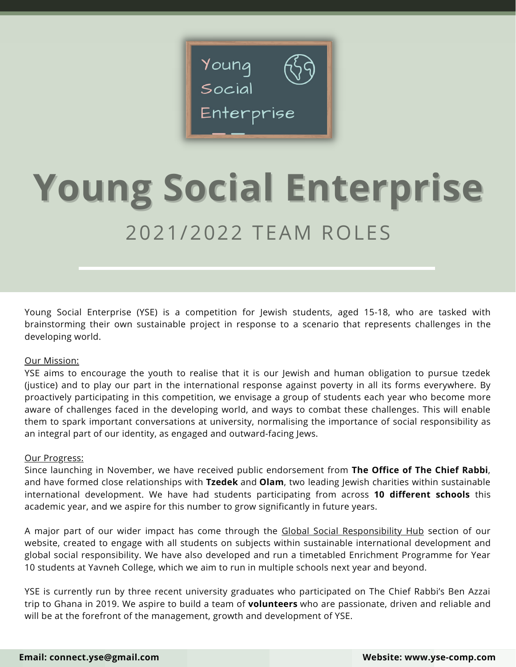

# **Young Social Enterprise** 2021/2022 TEAM ROLES

Young Social Enterprise (YSE) is a competition for Jewish students, aged 15-18, who are tasked with brainstorming their own sustainable project in response to a scenario that represents challenges in the developing world.

#### Our Mission:

YSE aims to encourage the youth to realise that it is our Jewish and human obligation to pursue tzedek (justice) and to play our part in the international response against poverty in all its forms everywhere. By proactively participating in this competition, we envisage a group of students each year who become more aware of challenges faced in the developing world, and ways to combat these challenges. This will enable them to spark important conversations at university, normalising the importance of social responsibility as an integral part of our identity, as engaged and outward-facing Jews.

#### Our Progress:

Since launching in November, we have received public endorsement from **The Office of The Chief Rabbi**, and have formed close relationships with **Tzedek** and **Olam**, two leading Jewish charities within sustainable international development. We have had students participating from across **10 different schools** this academic year, and we aspire for this number to grow significantly in future years.

A major part of our wider impact has come through the Global Social [Responsibility](https://www.yse-comp.com/global-social-responsibility-hub) Hub section of our website, created to engage with all students on subjects within sustainable international development and global social responsibility. We have also developed and run a timetabled Enrichment Programme for Year 10 students at Yavneh College, which we aim to run in multiple schools next year and beyond.

YSE is currently run by three recent university graduates who participated on The Chief Rabbi's Ben Azzai trip to Ghana in 2019. We aspire to build a team of **volunteers** who are passionate, driven and reliable and will be at the forefront of the management, growth and development of YSE.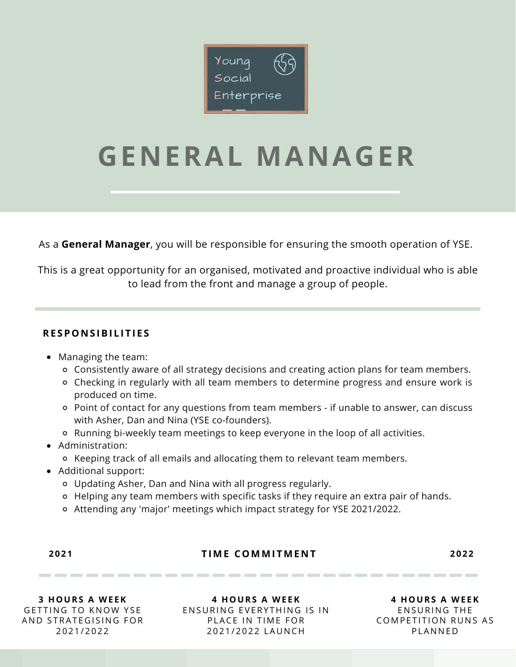

### **GENERAL MANAGER**

As a **General Manager**, you will be responsible for ensuring the smooth operation of YSE.

This is a great opportunity for an organised, motivated and proactive individual who is able to lead from the front and manage a group of people.

#### **RE SPO N S IBI L I T I E S**

- Managing the team:
	- Consistently aware of all strategy decisions and creating action plans for team members.
	- Checking in regularly with all team members to determine progress and ensure work is produced on time.
	- Point of contact for any questions from team members if unable to answer, can discuss with Asher, Dan and Nina (YSE co-founders).
	- Running bi-weekly team meetings to keep everyone in the loop of all activities.
- Administration:
	- Keeping track of all emails and allocating them to relevant team members.
- Additional support:
	- Updating Asher, Dan and Nina with all progress regularly.
	- Helping any team members with specific tasks if they require an extra pair of hands.
	- Attending any 'major' meetings which impact strategy for YSE 2021/2022.

#### **2 0 2 1 T IME COMMI TME N T 2 0 2 2**

**3 HOURS A WE EK** GETTING TO KNOW YSE AND STRATEGISING FOR 2 0 2 1 / 2 0 2 2

**4 HOURS A WE EK** EN SURING EVERYTHING IS IN PLACE IN TIME FOR 2 0 2 1 / 2 0 2 2 LA UN C H

**4 HOURS A WE EK** EN SURING THE **COMPETITION RUNS AS PLANNED**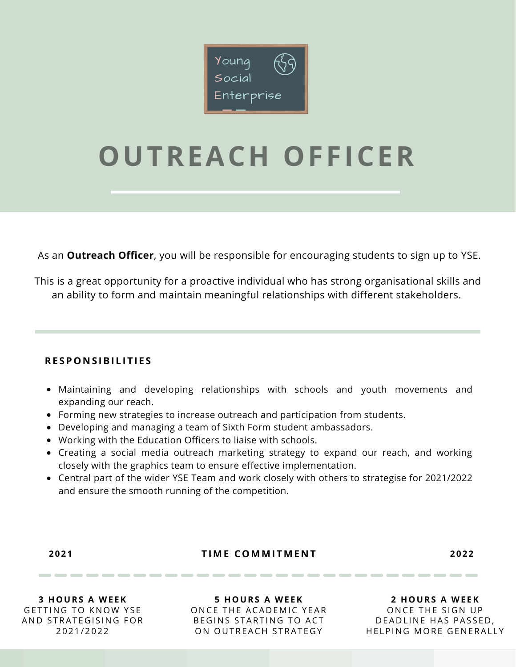

### **OUTREACH OFFICER**

As an **Outreach Officer**, you will be responsible for encouraging students to sign up to YSE.

This is a great opportunity for a proactive individual who has strong organisational skills and an ability to form and maintain meaningful relationships with different stakeholders.

#### **RE SPO N S IBI L I T I E S**

- Maintaining and developing relationships with schools and youth movements and expanding our reach.
- Forming new strategies to increase outreach and participation from students.
- Developing and managing a team of Sixth Form student ambassadors.
- Working with the Education Officers to liaise with schools.
- Creating a social media outreach marketing strategy to expand our reach, and working closely with the graphics team to ensure effective implementation.
- Central part of the wider YSE Team and work closely with others to strategise for 2021/2022 and ensure the smooth running of the competition.

**2 0 2 1 T IME COMMI TME N T 2 0 2 2**

**3 HOURS A WE EK** GETTING TO KNOW YSE AND STRATEGISING FOR 2 0 2 1 / 2 0 2 2

**5 HOURS A WE EK** ONCE THE ACADEMIC YEAR BEGINS STARTING TO ACT ON OUTREACH STRATEGY

**2 HOURS A WE EK** ONCE THE SIGN UP DEADLINE HAS PASSED, HELPING MORE GENERALLY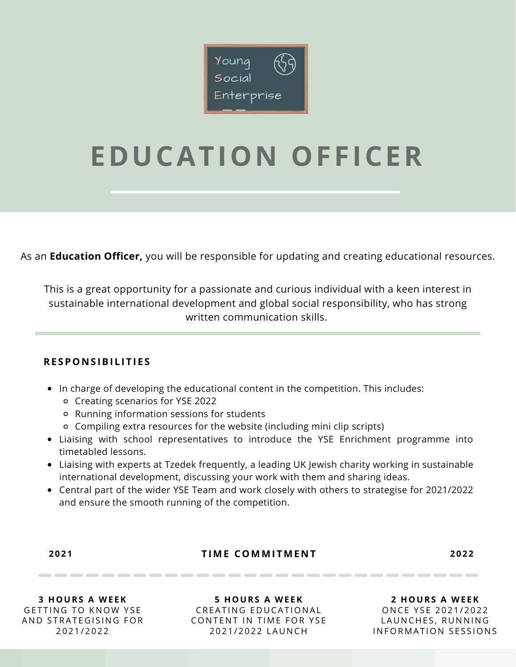

## **EDUCATION OFFICER**

As an **Education Officer,** you will be responsible for updating and creating educational resources.

This is a great opportunity for a passionate and curious individual with a keen interest in sustainable international development and global social responsibility, who has strong written communication skills.

#### **RE SPO N S IBI L I T I E S**

- In charge of developing the educational content in the competition. This includes:
	- Creating scenarios for YSE 2022
	- Running information sessions for students
	- Compiling extra resources for the website (including mini clip scripts)
- Liaising with school representatives to introduce the YSE Enrichment programme into timetabled lessons.
- Liaising with experts at Tzedek frequently, a leading UK Jewish charity working in sustainable international development, discussing your work with them and sharing ideas.
- Central part of the wider YSE Team and work closely with others to strategise for 2021/2022 and ensure the smooth running of the competition.

#### **2021 1IME COMMITMENT 2022**

**3 HOURS A WE EK** GETTING TO KNOW YSE AND STRATEGISING FOR 2 0 2 1 / 2 0 2 2

**5 HOURS A WE EK** CREATING EDUCATIONAL CONTENT IN TIME FOR YSE 2 0 2 1 / 2 0 2 2 LA UN C H

**2 HOURS A WE EK** ON CE YSE 2021/2022 LAUNCHES, RUNNING INFORMATION SESSIONS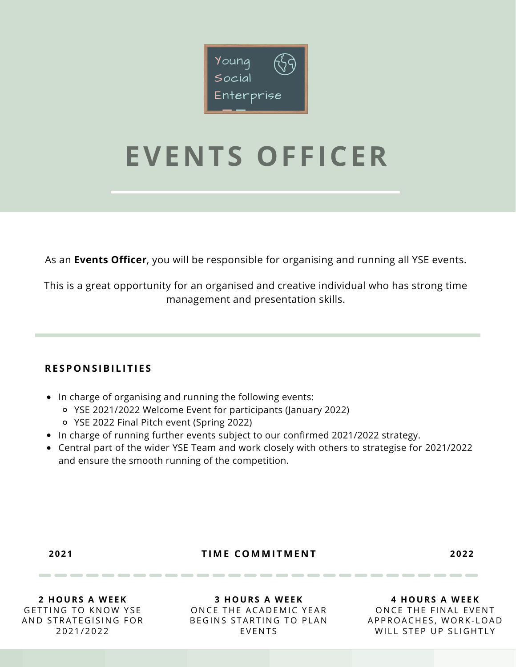

## **EVENTS OFFICER**

As an **Events Officer**, you will be responsible for organising and running all YSE events.

This is a great opportunity for an organised and creative individual who has strong time management and presentation skills.

### **RE SPO N S IBI L I T I E S**

- In charge of organising and running the following events:
	- YSE 2021/2022 Welcome Event for participants (January 2022)
	- YSE 2022 Final Pitch event (Spring 2022)
- In charge of running further events subject to our confirmed 2021/2022 strategy.
- Central part of the wider YSE Team and work closely with others to strategise for 2021/2022 and ensure the smooth running of the competition.

| ۰. |  |
|----|--|
|    |  |

**2 0 2 1 T IME COMMI TME N T 2 0 2 2**

**2 HOURS A WE EK** GETTING TO KNOW YSE AND STRATEGISING FOR 2 0 2 1 / 2 0 2 2

**3 HOURS A WE EK** ONCE THE ACADEMIC YEAR BEGINS STARTING TO PLAN **EVENTS** 

**4 HOURS A WE EK** ONCE THE FINAL EVENT APPROACHES, WORK-LOAD WILL STEP UP SLIGHTLY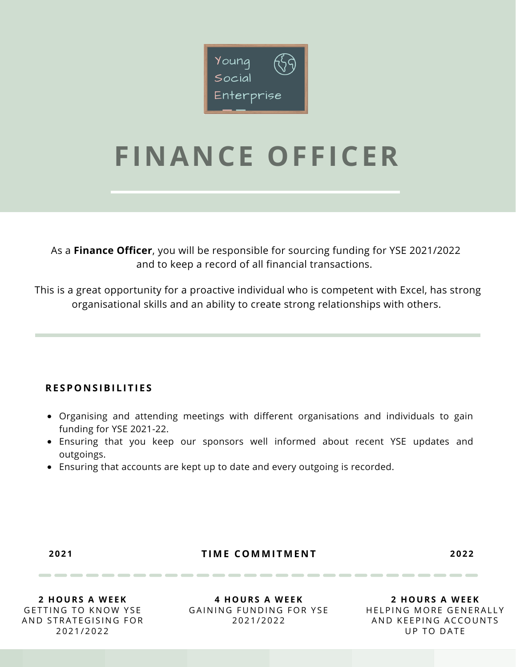

### **FINANCE OFFICER**

As a **Finance Officer**, you will be responsible for sourcing funding for YSE 2021/2022 and to keep a record of all financial transactions.

This is a great opportunity for a proactive individual who is competent with Excel, has strong organisational skills and an ability to create strong relationships with others.

### **RE SPO N S IBI L I T I E S**

- Organising and attending meetings with different organisations and individuals to gain funding for YSE 2021-22.
- Ensuring that you keep our sponsors well informed about recent YSE updates and outgoings.
- Ensuring that accounts are kept up to date and every outgoing is recorded.

**2 0 2 1 T IME COMMI TME N T 2 0 2 2**

**2 HOURS A WE EK** GETTING TO KNOW YSE AND STRATEGISING FOR 2 0 2 1 / 2 0 2 2

**4 HOURS A WE EK** GAINING FUNDING FOR YSE 2 0 2 1 / 2 0 2 2

**2 HOURS A WE EK** HELPING MORE GENERALLY AND KEEPING ACCOUNTS UP TO DATE